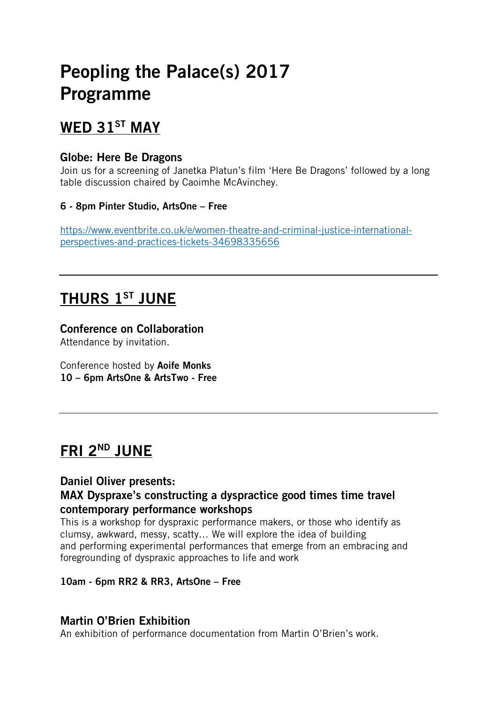# Peopling the Palace(s) 2017 Programme

## WED 31<sup>ST</sup> MAY

### Globe: Here Be Dragons

Join us for a screening of Janetka Platun's film 'Here Be Dragons' followed by a long table discussion chaired by Caoimhe McAvinchey.

#### 6 - 8pm Pinter Studio, ArtsOne – Free

[https://www.eventbrite.co.uk/e/women-theatre-and-criminal-justice-international](https://www.eventbrite.co.uk/e/women-theatre-and-criminal-justice-international-perspectives-and-practices-tickets-34698335656)[perspectives-and-practices-tickets-34698335656](https://www.eventbrite.co.uk/e/women-theatre-and-criminal-justice-international-perspectives-and-practices-tickets-34698335656)

## THURS 1ST JUNE

Conference on Collaboration Attendance by invitation.

Conference hosted by Aoife Monks 10 – 6pm ArtsOne & ArtsTwo - Free

## **FRI 2ND JUNE**

### Daniel Oliver presents:

### MAX Dyspraxe's constructing a dyspractice good times time travel contemporary performance workshops

This is a workshop for dyspraxic performance makers, or those who identify as clumsy, awkward, messy, scatty… We will explore the idea of building and performing experimental performances that emerge from an embracing and foregrounding of dyspraxic approaches to life and work

#### 10am - 6pm RR2 & RR3, ArtsOne – Free

### Martin O'Brien Exhibition

An exhibition of performance documentation from Martin O'Brien's work.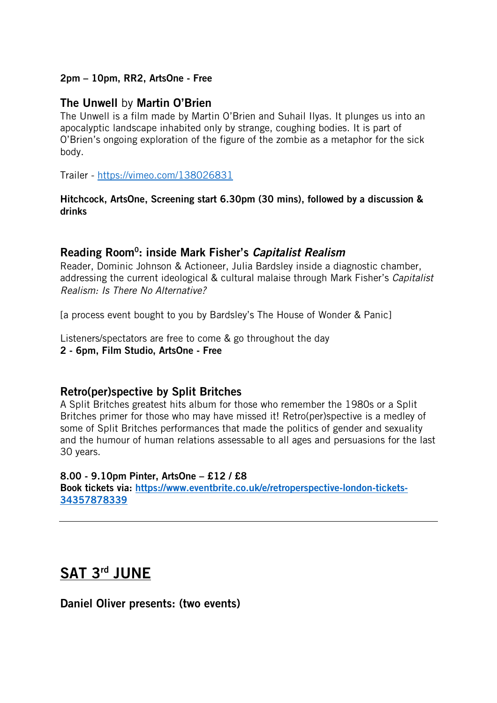#### 2pm – 10pm, RR2, ArtsOne - Free

#### The Unwell by Martin O'Brien

The Unwell is a film made by Martin O'Brien and Suhail Ilyas. It plunges us into an apocalyptic landscape inhabited only by strange, coughing bodies. It is part of O'Brien's ongoing exploration of the figure of the zombie as a metaphor for the sick body.

Trailer - <https://vimeo.com/138026831>

#### Hitchcock, ArtsOne, Screening start 6.30pm (30 mins), followed by a discussion & drinks

#### Reading Room0: inside Mark Fisher's *Capitalist Realism*

Reader, Dominic Johnson & Actioneer, Julia Bardsley inside a diagnostic chamber, addressing the current ideological & cultural malaise through Mark Fisher's *Capitalist Realism: Is There No Alternative?*

[a process event bought to you by Bardsley's The House of Wonder & Panic]

Listeners/spectators are free to come & go throughout the day

#### 2 - 6pm, Film Studio, ArtsOne - Free

#### Retro(per)spective by Split Britches

A Split Britches greatest hits album for those who remember the 1980s or a Split Britches primer for those who may have missed it! Retro(per)spective is a medley of some of Split Britches performances that made the politics of gender and sexuality and the humour of human relations assessable to all ages and persuasions for the last 30 years.

#### 8.00 - 9.10pm Pinter, ArtsOne – £12 / £8

Book tickets via: [https://www.eventbrite.co.uk/e/retroperspective-london-tickets-](https://www.eventbrite.co.uk/e/retroperspective-london-tickets-34357878339)[34357878339](https://www.eventbrite.co.uk/e/retroperspective-london-tickets-34357878339)

## SAT 3rd JUNE

Daniel Oliver presents: (two events)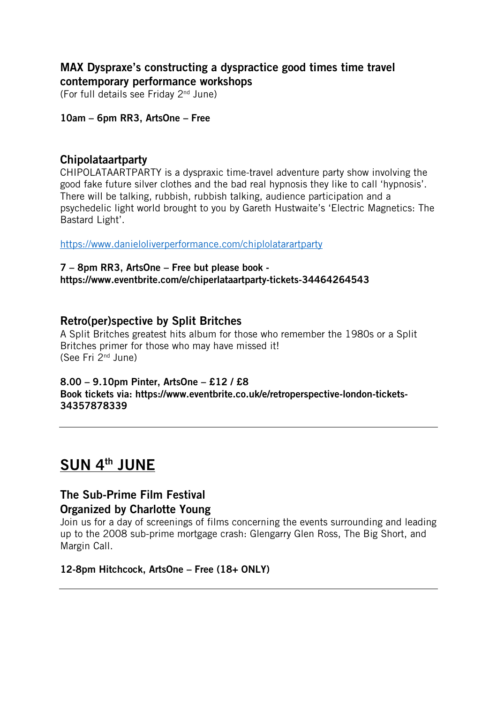### MAX Dyspraxe's constructing a dyspractice good times time travel contemporary performance workshops

(For full details see Friday 2nd June)

#### 10am – 6pm RR3, ArtsOne – Free

#### Chipolataartparty

CHIPOLATAARTPARTY is a dyspraxic time-travel adventure party show involving the good fake future silver clothes and the bad real hypnosis they like to call 'hypnosis'. There will be talking, rubbish, rubbish talking, audience participation and a psychedelic light world brought to you by Gareth Hustwaite's 'Electric Magnetics: The Bastard Light'.

<https://www.danieloliverperformance.com/chiplolatarartparty>

#### 7 – 8pm RR3, ArtsOne – Free but please book https://www.eventbrite.com/e/chiperlataartparty-tickets-34464264543

#### Retro(per)spective by Split Britches

A Split Britches greatest hits album for those who remember the 1980s or a Split Britches primer for those who may have missed it! (See Fri 2nd June)

#### 8.00 – 9.10pm Pinter, ArtsOne – £12 / £8

Book tickets via: https://www.eventbrite.co.uk/e/retroperspective-london-tickets-34357878339

## SUN 4th JUNE

#### The Sub-Prime Film Festival Organized by Charlotte Young

Join us for a day of screenings of films concerning the events surrounding and leading up to the 2008 sub-prime mortgage crash: Glengarry Glen Ross, The Big Short, and Margin Call.

#### 12-8pm Hitchcock, ArtsOne – Free (18+ ONLY)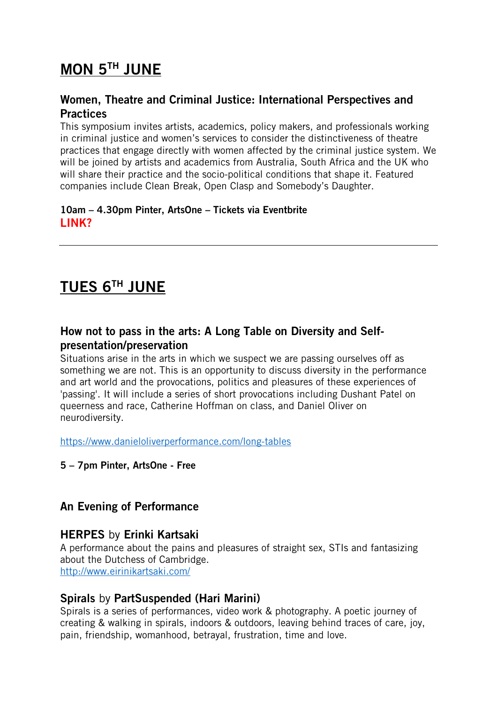## MON 5TH JUNE

### Women, Theatre and Criminal Justice: International Perspectives and **Practices**

This symposium invites artists, academics, policy makers, and professionals working in criminal justice and women's services to consider the distinctiveness of theatre practices that engage directly with women affected by the criminal justice system. We will be joined by artists and academics from Australia, South Africa and the UK who will share their practice and the socio-political conditions that shape it. Featured companies include Clean Break, Open Clasp and Somebody's Daughter.

#### 10am – 4.30pm Pinter, ArtsOne – Tickets via Eventbrite LINK?

## TUES 6TH JUNE

### How not to pass in the arts: A Long Table on Diversity and Selfpresentation/preservation

Situations arise in the arts in which we suspect we are passing ourselves off as something we are not. This is an opportunity to discuss diversity in the performance and art world and the provocations, politics and pleasures of these experiences of 'passing'. It will include a series of short provocations including Dushant Patel on queerness and race, Catherine Hoffman on class, and Daniel Oliver on neurodiversity.

<https://www.danieloliverperformance.com/long-tables>

5 – 7pm Pinter, ArtsOne - Free

### An Evening of Performance

### HERPES by Erinki Kartsaki

A performance about the pains and pleasures of straight sex, STIs and fantasizing about the Dutchess of Cambridge. <http://www.eirinikartsaki.com/>

#### Spirals by PartSuspended (Hari Marini)

Spirals is a series of performances, video work & photography. A poetic journey of creating & walking in spirals, indoors & outdoors, leaving behind traces of care, joy, pain, friendship, womanhood, betrayal, frustration, time and love.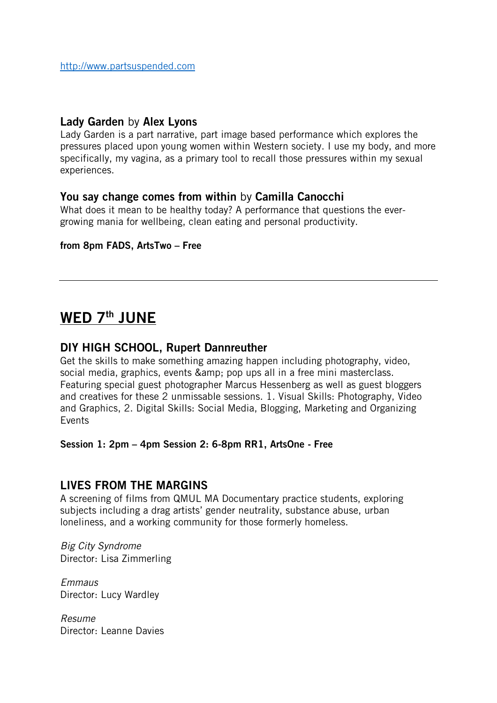#### Lady Garden by Alex Lyons

Lady Garden is a part narrative, part image based performance which explores the pressures placed upon young women within Western society. I use my body, and more specifically, my vagina, as a primary tool to recall those pressures within my sexual experiences.

#### You say change comes from within by Camilla Canocchi

What does it mean to be healthy today? A performance that questions the evergrowing mania for wellbeing, clean eating and personal productivity.

#### from 8pm FADS, ArtsTwo – Free

## WED 7<sup>th</sup> JUNE

#### DIY HIGH SCHOOL, Rupert Dannreuther

Get the skills to make something amazing happen including photography, video, social media, graphics, events & amp; pop ups all in a free mini masterclass. Featuring special guest photographer Marcus Hessenberg as well as guest bloggers and creatives for these 2 unmissable sessions. 1. Visual Skills: Photography, Video and Graphics, 2. Digital Skills: Social Media, Blogging, Marketing and Organizing Events

Session 1: 2pm – 4pm Session 2: 6-8pm RR1, ArtsOne - Free

#### LIVES FROM THE MARGINS

A screening of films from QMUL MA Documentary practice students, exploring subjects including a drag artists' gender neutrality, substance abuse, urban loneliness, and a working community for those formerly homeless.

*Big City Syndrome* Director: Lisa Zimmerling

*Emmaus* Director: Lucy Wardley

*Resume* Director: Leanne Davies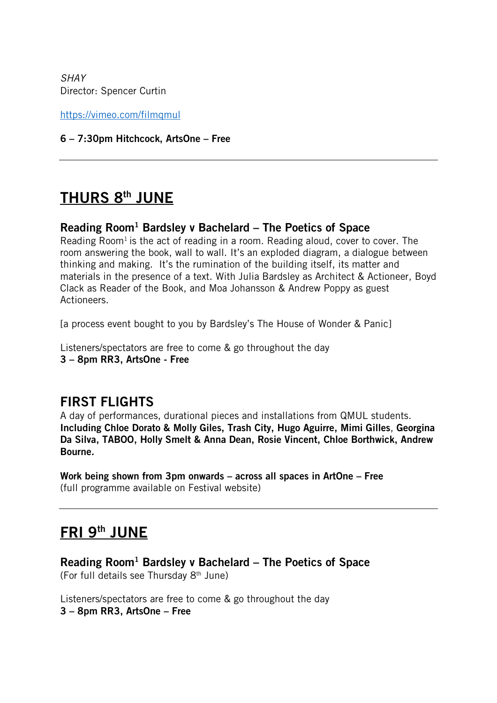*SHAY* Director: Spencer Curtin

<https://vimeo.com/filmqmul>

#### 6 – 7:30pm Hitchcock, ArtsOne – Free

## THURS 8<sup>th</sup> JUNE

#### Reading Room<sup>1</sup> Bardsley v Bachelard – The Poetics of Space

Reading Room<sup>1</sup> is the act of reading in a room. Reading aloud, cover to cover. The room answering the book, wall to wall. It's an exploded diagram, a dialogue between thinking and making. It's the rumination of the building itself, its matter and materials in the presence of a text. With Julia Bardsley as Architect & Actioneer, Boyd Clack as Reader of the Book, and Moa Johansson & Andrew Poppy as guest Actioneers.

[a process event bought to you by Bardsley's The House of Wonder & Panic]

Listeners/spectators are free to come & go throughout the day 3 – 8pm RR3, ArtsOne - Free

## FIRST FLIGHTS

A day of performances, durational pieces and installations from QMUL students. Including Chloe Dorato & Molly Giles, Trash City, Hugo Aguirre, Mimi Gilles, Georgina Da Silva, TABOO, Holly Smelt & Anna Dean, Rosie Vincent, Chloe Borthwick, Andrew Bourne.

Work being shown from 3pm onwards – across all spaces in ArtOne – Free (full programme available on Festival website)

## FRI 9th JUNE

Reading Room<sup>1</sup> Bardsley v Bachelard – The Poetics of Space (For full details see Thursday 8th June)

Listeners/spectators are free to come & go throughout the day 3 – 8pm RR3, ArtsOne – Free